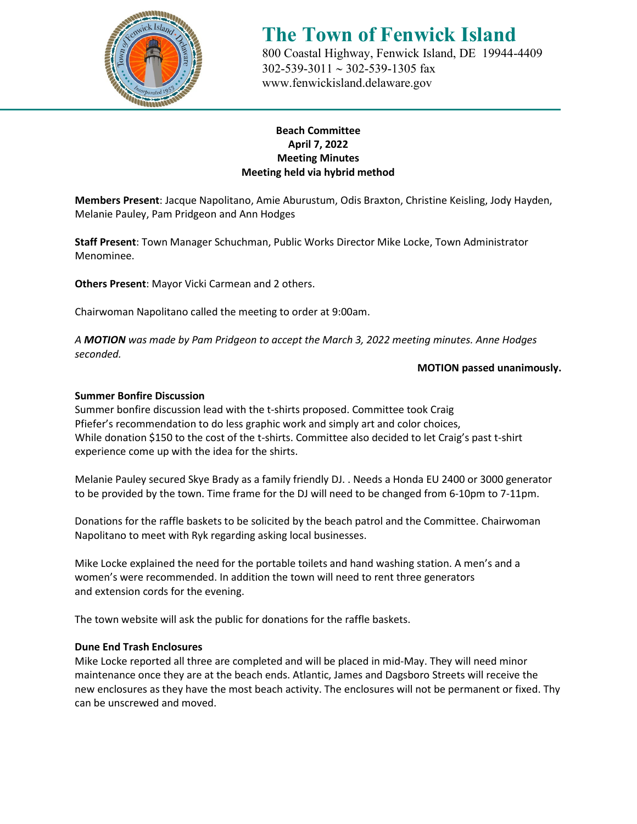

## **The Town of Fenwick Island** 800 Coastal Highway, Fenwick Island, DE 19944-4409

 302-539-3011 ∼ 302-539-1305 fax [www.fenwickisland.delaware.gov](http://www.fenwickisland.delaware.gov/)

## **Beach Committee April 7, 2022 Meeting Minutes Meeting held via hybrid method**

**Members Present**: Jacque Napolitano, Amie Aburustum, Odis Braxton, Christine Keisling, Jody Hayden, Melanie Pauley, Pam Pridgeon and Ann Hodges

**Staff Present**: Town Manager Schuchman, Public Works Director Mike Locke, Town Administrator Menominee.

**Others Present**: Mayor Vicki Carmean and 2 others.

Chairwoman Napolitano called the meeting to order at 9:00am.

*A MOTION was made by Pam Pridgeon to accept the March 3, 2022 meeting minutes. Anne Hodges seconded.* 

#### **MOTION passed unanimously.**

#### **Summer Bonfire Discussion**

Summer bonfire discussion lead with the t-shirts proposed. Committee took Craig Pfiefer's recommendation to do less graphic work and simply art and color choices, While donation \$150 to the cost of the t-shirts. Committee also decided to let Craig's past t-shirt experience come up with the idea for the shirts.

Melanie Pauley secured Skye Brady as a family friendly DJ. . Needs a Honda EU 2400 or 3000 generator to be provided by the town. Time frame for the DJ will need to be changed from 6-10pm to 7-11pm.

Donations for the raffle baskets to be solicited by the beach patrol and the Committee. Chairwoman Napolitano to meet with Ryk regarding asking local businesses.

Mike Locke explained the need for the portable toilets and hand washing station. A men's and a women's were recommended. In addition the town will need to rent three generators and extension cords for the evening.

The town website will ask the public for donations for the raffle baskets.

#### **Dune End Trash Enclosures**

Mike Locke reported all three are completed and will be placed in mid-May. They will need minor maintenance once they are at the beach ends. Atlantic, James and Dagsboro Streets will receive the new enclosures as they have the most beach activity. The enclosures will not be permanent or fixed. Thy can be unscrewed and moved.